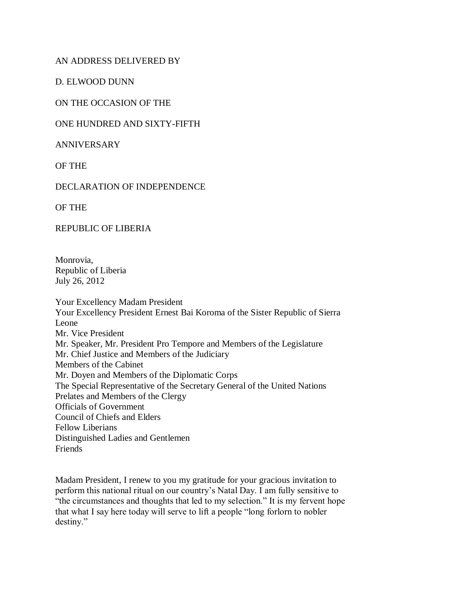# AN ADDRESS DELIVERED BY

D. ELWOOD DUNN

ON THE OCCASION OF THE

## ONE HUNDRED AND SIXTY-FIFTH

ANNIVERSARY

OF THE

## DECLARATION OF INDEPENDENCE

OF THE

### REPUBLIC OF LIBERIA

Monrovia, Republic of Liberia July 26, 2012

Your Excellency Madam President Your Excellency President Ernest Bai Koroma of the Sister Republic of Sierra Leone Mr. Vice President Mr. Speaker, Mr. President Pro Tempore and Members of the Legislature Mr. Chief Justice and Members of the Judiciary Members of the Cabinet Mr. Doyen and Members of the Diplomatic Corps The Special Representative of the Secretary General of the United Nations Prelates and Members of the Clergy Officials of Government Council of Chiefs and Elders Fellow Liberians Distinguished Ladies and Gentlemen Friends

Madam President, I renew to you my gratitude for your gracious invitation to perform this national ritual on our country's Natal Day. I am fully sensitive to "the circumstances and thoughts that led to my selection." It is my fervent hope that what I say here today will serve to lift a people "long forlorn to nobler destiny."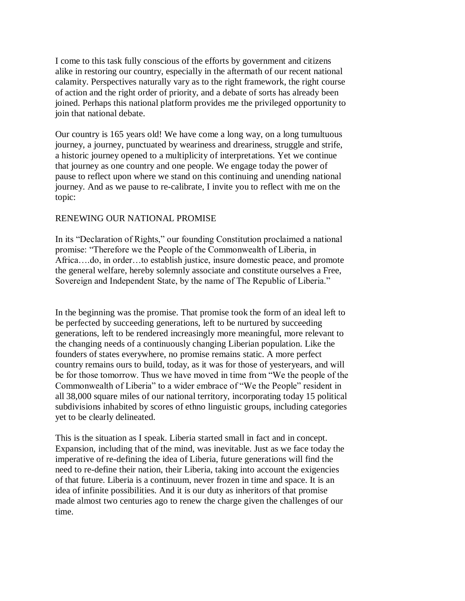I come to this task fully conscious of the efforts by government and citizens alike in restoring our country, especially in the aftermath of our recent national calamity. Perspectives naturally vary as to the right framework, the right course of action and the right order of priority, and a debate of sorts has already been joined. Perhaps this national platform provides me the privileged opportunity to join that national debate.

Our country is 165 years old! We have come a long way, on a long tumultuous journey, a journey, punctuated by weariness and dreariness, struggle and strife, a historic journey opened to a multiplicity of interpretations. Yet we continue that journey as one country and one people. We engage today the power of pause to reflect upon where we stand on this continuing and unending national journey. And as we pause to re-calibrate, I invite you to reflect with me on the topic:

### RENEWING OUR NATIONAL PROMISE

In its "Declaration of Rights," our founding Constitution proclaimed a national promise: "Therefore we the People of the Commonwealth of Liberia, in Africa….do, in order…to establish justice, insure domestic peace, and promote the general welfare, hereby solemnly associate and constitute ourselves a Free, Sovereign and Independent State, by the name of The Republic of Liberia."

In the beginning was the promise. That promise took the form of an ideal left to be perfected by succeeding generations, left to be nurtured by succeeding generations, left to be rendered increasingly more meaningful, more relevant to the changing needs of a continuously changing Liberian population. Like the founders of states everywhere, no promise remains static. A more perfect country remains ours to build, today, as it was for those of yesteryears, and will be for those tomorrow. Thus we have moved in time from "We the people of the Commonwealth of Liberia" to a wider embrace of "We the People" resident in all 38,000 square miles of our national territory, incorporating today 15 political subdivisions inhabited by scores of ethno linguistic groups, including categories yet to be clearly delineated.

This is the situation as I speak. Liberia started small in fact and in concept. Expansion, including that of the mind, was inevitable. Just as we face today the imperative of re-defining the idea of Liberia, future generations will find the need to re-define their nation, their Liberia, taking into account the exigencies of that future. Liberia is a continuum, never frozen in time and space. It is an idea of infinite possibilities. And it is our duty as inheritors of that promise made almost two centuries ago to renew the charge given the challenges of our time.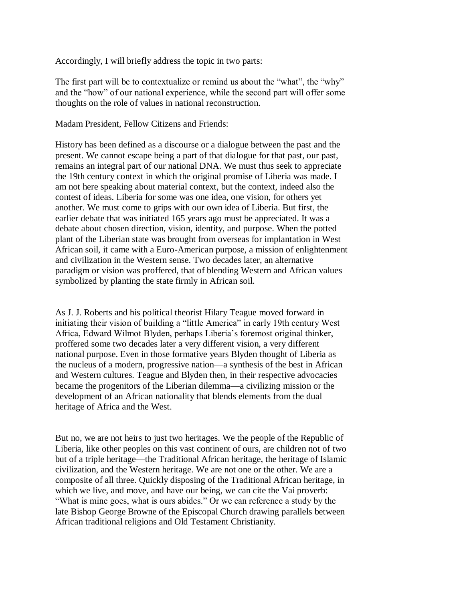Accordingly, I will briefly address the topic in two parts:

The first part will be to contextualize or remind us about the "what", the "why" and the "how" of our national experience, while the second part will offer some thoughts on the role of values in national reconstruction.

Madam President, Fellow Citizens and Friends:

History has been defined as a discourse or a dialogue between the past and the present. We cannot escape being a part of that dialogue for that past, our past, remains an integral part of our national DNA. We must thus seek to appreciate the 19th century context in which the original promise of Liberia was made. I am not here speaking about material context, but the context, indeed also the contest of ideas. Liberia for some was one idea, one vision, for others yet another. We must come to grips with our own idea of Liberia. But first, the earlier debate that was initiated 165 years ago must be appreciated. It was a debate about chosen direction, vision, identity, and purpose. When the potted plant of the Liberian state was brought from overseas for implantation in West African soil, it came with a Euro-American purpose, a mission of enlightenment and civilization in the Western sense. Two decades later, an alternative paradigm or vision was proffered, that of blending Western and African values symbolized by planting the state firmly in African soil.

As J. J. Roberts and his political theorist Hilary Teague moved forward in initiating their vision of building a "little America" in early 19th century West Africa, Edward Wilmot Blyden, perhaps Liberia's foremost original thinker, proffered some two decades later a very different vision, a very different national purpose. Even in those formative years Blyden thought of Liberia as the nucleus of a modern, progressive nation—a synthesis of the best in African and Western cultures. Teague and Blyden then, in their respective advocacies became the progenitors of the Liberian dilemma—a civilizing mission or the development of an African nationality that blends elements from the dual heritage of Africa and the West.

But no, we are not heirs to just two heritages. We the people of the Republic of Liberia, like other peoples on this vast continent of ours, are children not of two but of a triple heritage—the Traditional African heritage, the heritage of Islamic civilization, and the Western heritage. We are not one or the other. We are a composite of all three. Quickly disposing of the Traditional African heritage, in which we live, and move, and have our being, we can cite the Vai proverb: "What is mine goes, what is ours abides." Or we can reference a study by the late Bishop George Browne of the Episcopal Church drawing parallels between African traditional religions and Old Testament Christianity.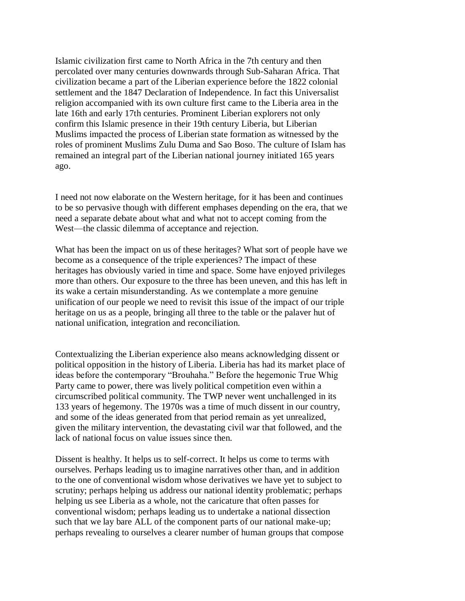Islamic civilization first came to North Africa in the 7th century and then percolated over many centuries downwards through Sub-Saharan Africa. That civilization became a part of the Liberian experience before the 1822 colonial settlement and the 1847 Declaration of Independence. In fact this Universalist religion accompanied with its own culture first came to the Liberia area in the late 16th and early 17th centuries. Prominent Liberian explorers not only confirm this Islamic presence in their 19th century Liberia, but Liberian Muslims impacted the process of Liberian state formation as witnessed by the roles of prominent Muslims Zulu Duma and Sao Boso. The culture of Islam has remained an integral part of the Liberian national journey initiated 165 years ago.

I need not now elaborate on the Western heritage, for it has been and continues to be so pervasive though with different emphases depending on the era, that we need a separate debate about what and what not to accept coming from the West—the classic dilemma of acceptance and rejection.

What has been the impact on us of these heritages? What sort of people have we become as a consequence of the triple experiences? The impact of these heritages has obviously varied in time and space. Some have enjoyed privileges more than others. Our exposure to the three has been uneven, and this has left in its wake a certain misunderstanding. As we contemplate a more genuine unification of our people we need to revisit this issue of the impact of our triple heritage on us as a people, bringing all three to the table or the palaver hut of national unification, integration and reconciliation.

Contextualizing the Liberian experience also means acknowledging dissent or political opposition in the history of Liberia. Liberia has had its market place of ideas before the contemporary "Brouhaha." Before the hegemonic True Whig Party came to power, there was lively political competition even within a circumscribed political community. The TWP never went unchallenged in its 133 years of hegemony. The 1970s was a time of much dissent in our country, and some of the ideas generated from that period remain as yet unrealized, given the military intervention, the devastating civil war that followed, and the lack of national focus on value issues since then.

Dissent is healthy. It helps us to self-correct. It helps us come to terms with ourselves. Perhaps leading us to imagine narratives other than, and in addition to the one of conventional wisdom whose derivatives we have yet to subject to scrutiny; perhaps helping us address our national identity problematic; perhaps helping us see Liberia as a whole, not the caricature that often passes for conventional wisdom; perhaps leading us to undertake a national dissection such that we lay bare ALL of the component parts of our national make-up; perhaps revealing to ourselves a clearer number of human groups that compose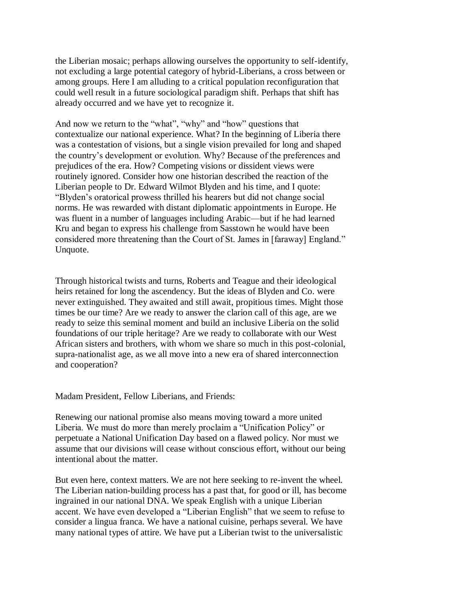the Liberian mosaic; perhaps allowing ourselves the opportunity to self-identify, not excluding a large potential category of hybrid-Liberians, a cross between or among groups. Here I am alluding to a critical population reconfiguration that could well result in a future sociological paradigm shift. Perhaps that shift has already occurred and we have yet to recognize it.

And now we return to the "what", "why" and "how" questions that contextualize our national experience. What? In the beginning of Liberia there was a contestation of visions, but a single vision prevailed for long and shaped the country's development or evolution. Why? Because of the preferences and prejudices of the era. How? Competing visions or dissident views were routinely ignored. Consider how one historian described the reaction of the Liberian people to Dr. Edward Wilmot Blyden and his time, and I quote: "Blyden's oratorical prowess thrilled his hearers but did not change social norms. He was rewarded with distant diplomatic appointments in Europe. He was fluent in a number of languages including Arabic—but if he had learned Kru and began to express his challenge from Sasstown he would have been considered more threatening than the Court of St. James in [faraway] England." Unquote.

Through historical twists and turns, Roberts and Teague and their ideological heirs retained for long the ascendency. But the ideas of Blyden and Co. were never extinguished. They awaited and still await, propitious times. Might those times be our time? Are we ready to answer the clarion call of this age, are we ready to seize this seminal moment and build an inclusive Liberia on the solid foundations of our triple heritage? Are we ready to collaborate with our West African sisters and brothers, with whom we share so much in this post-colonial, supra-nationalist age, as we all move into a new era of shared interconnection and cooperation?

Madam President, Fellow Liberians, and Friends:

Renewing our national promise also means moving toward a more united Liberia. We must do more than merely proclaim a "Unification Policy" or perpetuate a National Unification Day based on a flawed policy. Nor must we assume that our divisions will cease without conscious effort, without our being intentional about the matter.

But even here, context matters. We are not here seeking to re-invent the wheel. The Liberian nation-building process has a past that, for good or ill, has become ingrained in our national DNA. We speak English with a unique Liberian accent. We have even developed a "Liberian English" that we seem to refuse to consider a lingua franca. We have a national cuisine, perhaps several. We have many national types of attire. We have put a Liberian twist to the universalistic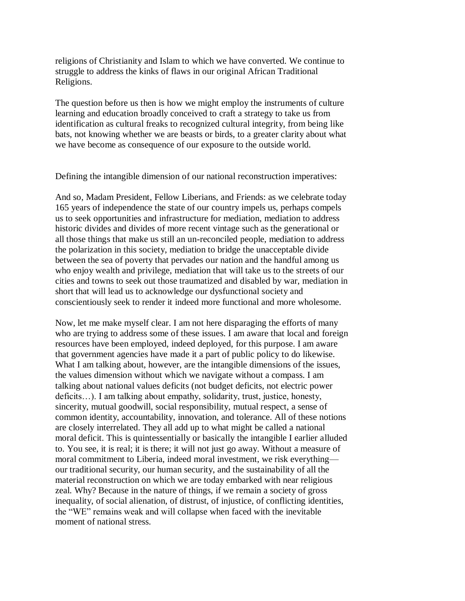religions of Christianity and Islam to which we have converted. We continue to struggle to address the kinks of flaws in our original African Traditional Religions.

The question before us then is how we might employ the instruments of culture learning and education broadly conceived to craft a strategy to take us from identification as cultural freaks to recognized cultural integrity, from being like bats, not knowing whether we are beasts or birds, to a greater clarity about what we have become as consequence of our exposure to the outside world.

Defining the intangible dimension of our national reconstruction imperatives:

And so, Madam President, Fellow Liberians, and Friends: as we celebrate today 165 years of independence the state of our country impels us, perhaps compels us to seek opportunities and infrastructure for mediation, mediation to address historic divides and divides of more recent vintage such as the generational or all those things that make us still an un-reconciled people, mediation to address the polarization in this society, mediation to bridge the unacceptable divide between the sea of poverty that pervades our nation and the handful among us who enjoy wealth and privilege, mediation that will take us to the streets of our cities and towns to seek out those traumatized and disabled by war, mediation in short that will lead us to acknowledge our dysfunctional society and conscientiously seek to render it indeed more functional and more wholesome.

Now, let me make myself clear. I am not here disparaging the efforts of many who are trying to address some of these issues. I am aware that local and foreign resources have been employed, indeed deployed, for this purpose. I am aware that government agencies have made it a part of public policy to do likewise. What I am talking about, however, are the intangible dimensions of the issues, the values dimension without which we navigate without a compass. I am talking about national values deficits (not budget deficits, not electric power deficits…). I am talking about empathy, solidarity, trust, justice, honesty, sincerity, mutual goodwill, social responsibility, mutual respect, a sense of common identity, accountability, innovation, and tolerance. All of these notions are closely interrelated. They all add up to what might be called a national moral deficit. This is quintessentially or basically the intangible I earlier alluded to. You see, it is real; it is there; it will not just go away. Without a measure of moral commitment to Liberia, indeed moral investment, we risk everything our traditional security, our human security, and the sustainability of all the material reconstruction on which we are today embarked with near religious zeal. Why? Because in the nature of things, if we remain a society of gross inequality, of social alienation, of distrust, of injustice, of conflicting identities, the "WE" remains weak and will collapse when faced with the inevitable moment of national stress.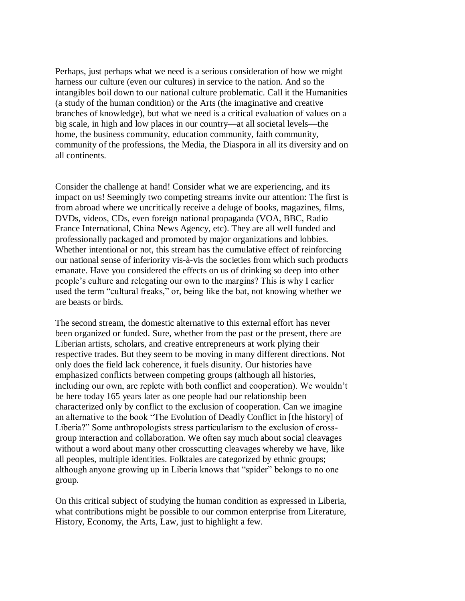Perhaps, just perhaps what we need is a serious consideration of how we might harness our culture (even our cultures) in service to the nation. And so the intangibles boil down to our national culture problematic. Call it the Humanities (a study of the human condition) or the Arts (the imaginative and creative branches of knowledge), but what we need is a critical evaluation of values on a big scale, in high and low places in our country—at all societal levels—the home, the business community, education community, faith community, community of the professions, the Media, the Diaspora in all its diversity and on all continents.

Consider the challenge at hand! Consider what we are experiencing, and its impact on us! Seemingly two competing streams invite our attention: The first is from abroad where we uncritically receive a deluge of books, magazines, films, DVDs, videos, CDs, even foreign national propaganda (VOA, BBC, Radio France International, China News Agency, etc). They are all well funded and professionally packaged and promoted by major organizations and lobbies. Whether intentional or not, this stream has the cumulative effect of reinforcing our national sense of inferiority vis-à-vis the societies from which such products emanate. Have you considered the effects on us of drinking so deep into other people's culture and relegating our own to the margins? This is why I earlier used the term "cultural freaks," or, being like the bat, not knowing whether we are beasts or birds.

The second stream, the domestic alternative to this external effort has never been organized or funded. Sure, whether from the past or the present, there are Liberian artists, scholars, and creative entrepreneurs at work plying their respective trades. But they seem to be moving in many different directions. Not only does the field lack coherence, it fuels disunity. Our histories have emphasized conflicts between competing groups (although all histories, including our own, are replete with both conflict and cooperation). We wouldn't be here today 165 years later as one people had our relationship been characterized only by conflict to the exclusion of cooperation. Can we imagine an alternative to the book "The Evolution of Deadly Conflict in [the history] of Liberia?" Some anthropologists stress particularism to the exclusion of crossgroup interaction and collaboration. We often say much about social cleavages without a word about many other crosscutting cleavages whereby we have, like all peoples, multiple identities. Folktales are categorized by ethnic groups; although anyone growing up in Liberia knows that "spider" belongs to no one group.

On this critical subject of studying the human condition as expressed in Liberia, what contributions might be possible to our common enterprise from Literature, History, Economy, the Arts, Law, just to highlight a few.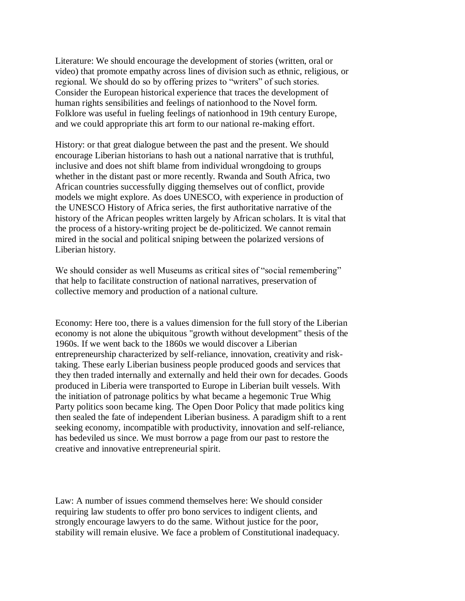Literature: We should encourage the development of stories (written, oral or video) that promote empathy across lines of division such as ethnic, religious, or regional. We should do so by offering prizes to "writers" of such stories. Consider the European historical experience that traces the development of human rights sensibilities and feelings of nationhood to the Novel form. Folklore was useful in fueling feelings of nationhood in 19th century Europe, and we could appropriate this art form to our national re-making effort.

History: or that great dialogue between the past and the present. We should encourage Liberian historians to hash out a national narrative that is truthful, inclusive and does not shift blame from individual wrongdoing to groups whether in the distant past or more recently. Rwanda and South Africa, two African countries successfully digging themselves out of conflict, provide models we might explore. As does UNESCO, with experience in production of the UNESCO History of Africa series, the first authoritative narrative of the history of the African peoples written largely by African scholars. It is vital that the process of a history-writing project be de-politicized. We cannot remain mired in the social and political sniping between the polarized versions of Liberian history.

We should consider as well Museums as critical sites of "social remembering" that help to facilitate construction of national narratives, preservation of collective memory and production of a national culture.

Economy: Here too, there is a values dimension for the full story of the Liberian economy is not alone the ubiquitous "growth without development" thesis of the 1960s. If we went back to the 1860s we would discover a Liberian entrepreneurship characterized by self-reliance, innovation, creativity and risktaking. These early Liberian business people produced goods and services that they then traded internally and externally and held their own for decades. Goods produced in Liberia were transported to Europe in Liberian built vessels. With the initiation of patronage politics by what became a hegemonic True Whig Party politics soon became king. The Open Door Policy that made politics king then sealed the fate of independent Liberian business. A paradigm shift to a rent seeking economy, incompatible with productivity, innovation and self-reliance, has bedeviled us since. We must borrow a page from our past to restore the creative and innovative entrepreneurial spirit.

Law: A number of issues commend themselves here: We should consider requiring law students to offer pro bono services to indigent clients, and strongly encourage lawyers to do the same. Without justice for the poor, stability will remain elusive. We face a problem of Constitutional inadequacy.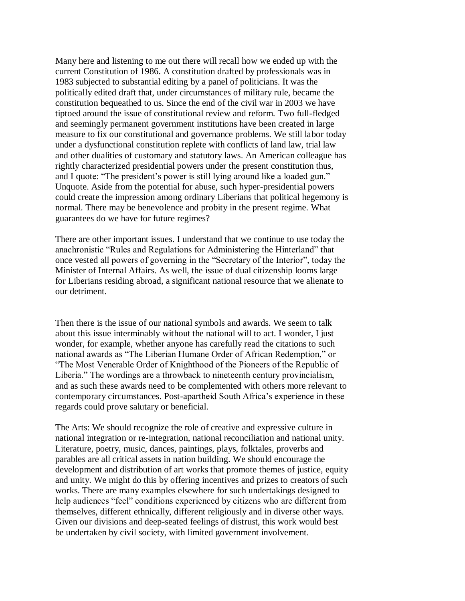Many here and listening to me out there will recall how we ended up with the current Constitution of 1986. A constitution drafted by professionals was in 1983 subjected to substantial editing by a panel of politicians. It was the politically edited draft that, under circumstances of military rule, became the constitution bequeathed to us. Since the end of the civil war in 2003 we have tiptoed around the issue of constitutional review and reform. Two full-fledged and seemingly permanent government institutions have been created in large measure to fix our constitutional and governance problems. We still labor today under a dysfunctional constitution replete with conflicts of land law, trial law and other dualities of customary and statutory laws. An American colleague has rightly characterized presidential powers under the present constitution thus, and I quote: "The president's power is still lying around like a loaded gun." Unquote. Aside from the potential for abuse, such hyper-presidential powers could create the impression among ordinary Liberians that political hegemony is normal. There may be benevolence and probity in the present regime. What guarantees do we have for future regimes?

There are other important issues. I understand that we continue to use today the anachronistic "Rules and Regulations for Administering the Hinterland" that once vested all powers of governing in the "Secretary of the Interior", today the Minister of Internal Affairs. As well, the issue of dual citizenship looms large for Liberians residing abroad, a significant national resource that we alienate to our detriment.

Then there is the issue of our national symbols and awards. We seem to talk about this issue interminably without the national will to act. I wonder, I just wonder, for example, whether anyone has carefully read the citations to such national awards as "The Liberian Humane Order of African Redemption," or "The Most Venerable Order of Knighthood of the Pioneers of the Republic of Liberia." The wordings are a throwback to nineteenth century provincialism, and as such these awards need to be complemented with others more relevant to contemporary circumstances. Post-apartheid South Africa's experience in these regards could prove salutary or beneficial.

The Arts: We should recognize the role of creative and expressive culture in national integration or re-integration, national reconciliation and national unity. Literature, poetry, music, dances, paintings, plays, folktales, proverbs and parables are all critical assets in nation building. We should encourage the development and distribution of art works that promote themes of justice, equity and unity. We might do this by offering incentives and prizes to creators of such works. There are many examples elsewhere for such undertakings designed to help audiences "feel" conditions experienced by citizens who are different from themselves, different ethnically, different religiously and in diverse other ways. Given our divisions and deep-seated feelings of distrust, this work would best be undertaken by civil society, with limited government involvement.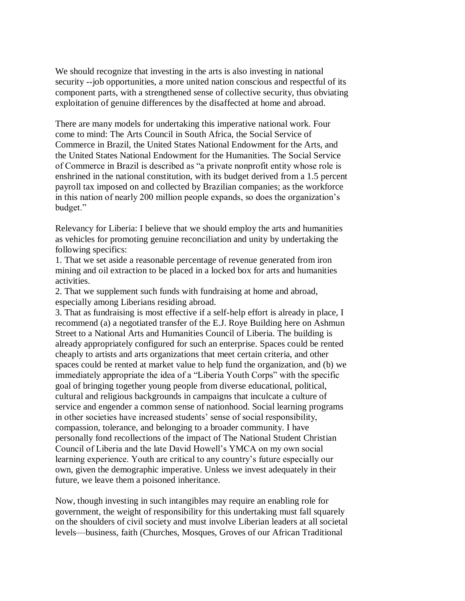We should recognize that investing in the arts is also investing in national security --job opportunities, a more united nation conscious and respectful of its component parts, with a strengthened sense of collective security, thus obviating exploitation of genuine differences by the disaffected at home and abroad.

There are many models for undertaking this imperative national work. Four come to mind: The Arts Council in South Africa, the Social Service of Commerce in Brazil, the United States National Endowment for the Arts, and the United States National Endowment for the Humanities. The Social Service of Commerce in Brazil is described as "a private nonprofit entity whose role is enshrined in the national constitution, with its budget derived from a 1.5 percent payroll tax imposed on and collected by Brazilian companies; as the workforce in this nation of nearly 200 million people expands, so does the organization's budget."

Relevancy for Liberia: I believe that we should employ the arts and humanities as vehicles for promoting genuine reconciliation and unity by undertaking the following specifics:

1. That we set aside a reasonable percentage of revenue generated from iron mining and oil extraction to be placed in a locked box for arts and humanities activities.

2. That we supplement such funds with fundraising at home and abroad, especially among Liberians residing abroad.

3. That as fundraising is most effective if a self-help effort is already in place, I recommend (a) a negotiated transfer of the E.J. Roye Building here on Ashmun Street to a National Arts and Humanities Council of Liberia. The building is already appropriately configured for such an enterprise. Spaces could be rented cheaply to artists and arts organizations that meet certain criteria, and other spaces could be rented at market value to help fund the organization, and (b) we immediately appropriate the idea of a "Liberia Youth Corps" with the specific goal of bringing together young people from diverse educational, political, cultural and religious backgrounds in campaigns that inculcate a culture of service and engender a common sense of nationhood. Social learning programs in other societies have increased students' sense of social responsibility, compassion, tolerance, and belonging to a broader community. I have personally fond recollections of the impact of The National Student Christian Council of Liberia and the late David Howell's YMCA on my own social learning experience. Youth are critical to any country's future especially our own, given the demographic imperative. Unless we invest adequately in their future, we leave them a poisoned inheritance.

Now, though investing in such intangibles may require an enabling role for government, the weight of responsibility for this undertaking must fall squarely on the shoulders of civil society and must involve Liberian leaders at all societal levels—business, faith (Churches, Mosques, Groves of our African Traditional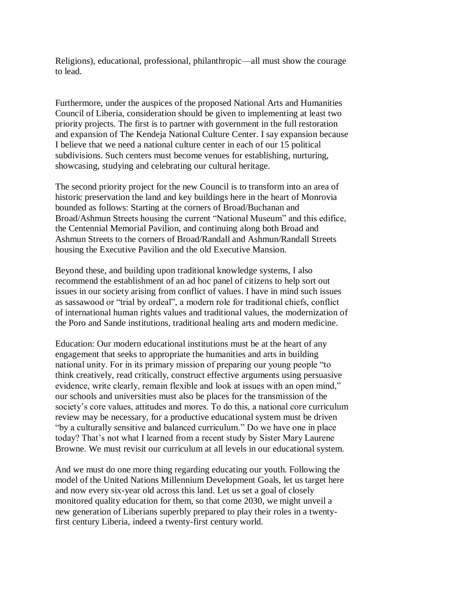Religions), educational, professional, philanthropic—all must show the courage to lead.

Furthermore, under the auspices of the proposed National Arts and Humanities Council of Liberia, consideration should be given to implementing at least two priority projects. The first is to partner with government in the full restoration and expansion of The Kendeja National Culture Center. I say expansion because I believe that we need a national culture center in each of our 15 political subdivisions. Such centers must become venues for establishing, nurturing, showcasing, studying and celebrating our cultural heritage.

The second priority project for the new Council is to transform into an area of historic preservation the land and key buildings here in the heart of Monrovia bounded as follows: Starting at the corners of Broad/Buchanan and Broad/Ashmun Streets housing the current "National Museum" and this edifice, the Centennial Memorial Pavilion, and continuing along both Broad and Ashmun Streets to the corners of Broad/Randall and Ashmun/Randall Streets housing the Executive Pavilion and the old Executive Mansion.

Beyond these, and building upon traditional knowledge systems, I also recommend the establishment of an ad hoc panel of citizens to help sort out issues in our society arising from conflict of values. I have in mind such issues as sassawood or "trial by ordeal", a modern role for traditional chiefs, conflict of international human rights values and traditional values, the modernization of the Poro and Sande institutions, traditional healing arts and modern medicine.

Education: Our modern educational institutions must be at the heart of any engagement that seeks to appropriate the humanities and arts in building national unity. For in its primary mission of preparing our young people "to think creatively, read critically, construct effective arguments using persuasive evidence, write clearly, remain flexible and look at issues with an open mind," our schools and universities must also be places for the transmission of the society's core values, attitudes and mores. To do this, a national core curriculum review may be necessary, for a productive educational system must be driven "by a culturally sensitive and balanced curriculum." Do we have one in place today? That's not what I learned from a recent study by Sister Mary Laurene Browne. We must revisit our curriculum at all levels in our educational system.

And we must do one more thing regarding educating our youth. Following the model of the United Nations Millennium Development Goals, let us target here and now every six-year old across this land. Let us set a goal of closely monitored quality education for them, so that come 2030, we might unveil a new generation of Liberians superbly prepared to play their roles in a twentyfirst century Liberia, indeed a twenty-first century world.